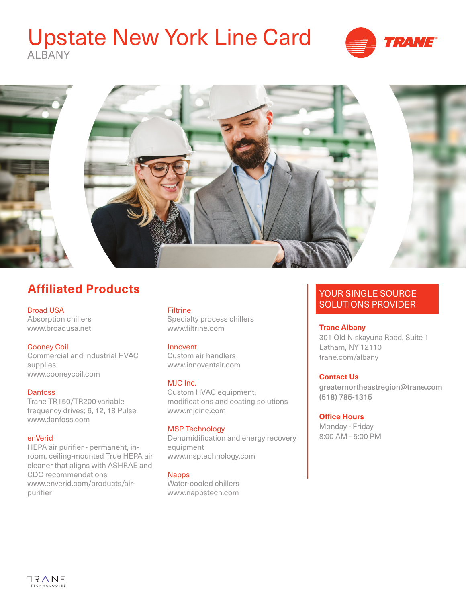# Upstate New York Line Card ALBANY







# **Affiliated Products**

Broad USA Absorption chillers www.broadusa.net

# Cooney Coil

Commercial and industrial HVAC supplies www.cooneycoil.com

### **Danfoss**

Trane TR150/TR200 variable frequency drives; 6, 12, 18 Pulse www.danfoss.com

#### enVerid

HEPA air purifier - permanent, inroom, ceiling-mounted True HEPA air cleaner that aligns with ASHRAE and CDC recommendations [www.enverid.com/products/air](http://www.enverid.com/products/air-purifier)[purifier](http://www.enverid.com/products/air-purifier)

# **Filtrine**

Specialty process chillers www.filtrine.com

### Innovent

Custom air handlers www.innoventair.com

### MJC Inc.

Custom HVAC equipment, modifications and coating solutions www.mjcinc.com

### MSP Technology

Dehumidification and energy recovery equipment www.msptechnology.com

#### **Napps**

Water-cooled chillers www.nappstech.com

# YOUR SINGLE SOURCE SOLUTIONS PROVIDER

#### **Trane Albany**

301 Old Niskayuna Road, Suite 1 Latham, NY 12110 [trane.com/](http://www.trane.com/albany)albany

# **Contact Us**

greaternortheastregion@trane.com (518) 785-1315

### **Office Hours**

Monday - Friday 8:00 AM - 5:00 PM